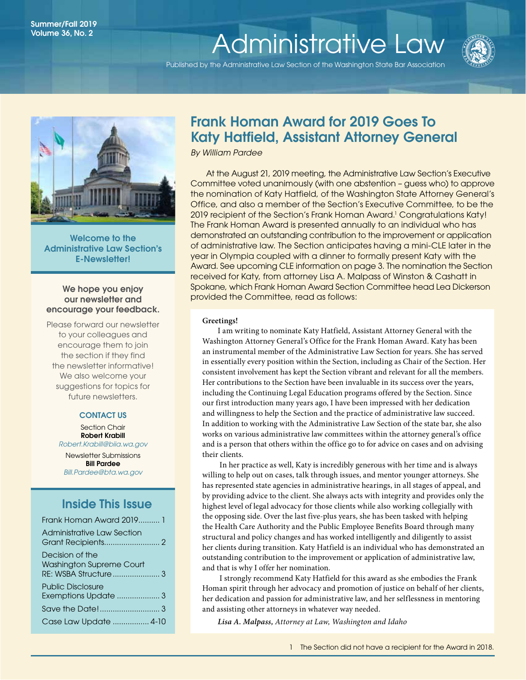# Summer/Fall 2019 1 Summer/Fall 2019 1 Summer/Fall 2019 1 Summer/Fall 2019 1 Summer/Fall 2019 1 Summer<br>Volume 36 No. 2 Volume 36, No. 2<br>[Administrative Law](http://www.wsba.org/lawyers/groups/administrativelaw/adminlaw.htm)

Published by the Administrative Law Section of the Washington State Bar Association





Welcome to the Administrative Law Section's E-Newsletter!

# We hope you enjoy our newsletter and encourage your feedback.

Please forward our newsletter to your colleagues and encourage them to join the section if they find the newsletter informative! We also welcome your suggestions for topics for future newsletters.

# CONTACT US

Section Chair Robert Krabill *[Robert.Krabill@biia.wa.gov](mailto:Robert.Krabill%40biia.wa.gov?subject=)*

Newsletter Submissions Bill Pardee *[Bill.Pardee@bta.wa.gov](mailto:Bill.Pardee%40bta.wa.gov?subject=Administrative%20Law%20Section%20Newsletter)*

# Inside This Issue

| Frank Homan Award 2019 1                                                   |
|----------------------------------------------------------------------------|
| Administrative Law Section                                                 |
| Decision of the<br><b>Washington Supreme Court</b><br>RE: WSBA Structure 3 |
| <b>Public Disclosure</b>                                                   |
|                                                                            |
|                                                                            |
| Case Law Update  4-10                                                      |
|                                                                            |

# Frank Homan Award for 2019 Goes To Katy Hatfield, Assistant Attorney General

*By William Pardee*

At the August 21, 2019 meeting, the Administrative Law Section's Executive Committee voted unanimously (with one abstention – guess who) to approve the nomination of Katy Hatfield, of the Washington State Attorney General's Office, and also a member of the Section's Executive Committee, to be the 2019 recipient of the Section's Frank Homan Award.<sup>1</sup> Congratulations Katy! The Frank Homan Award is presented annually to an individual who has demonstrated an outstanding contribution to the improvement or application of administrative law. The Section anticipates having a mini-CLE later in the year in Olympia coupled with a dinner to formally present Katy with the Award. See upcoming CLE information on page 3. The nomination the Section received for Katy, from attorney Lisa A. Malpass of Winston & Cashatt in Spokane, which Frank Homan Award Section Committee head Lea Dickerson provided the Committee, read as follows:

#### **Greetings!**

I am writing to nominate Katy Hatfield, Assistant Attorney General with the Washington Attorney General's Office for the Frank Homan Award. Katy has been an instrumental member of the Administrative Law Section for years. She has served in essentially every position within the Section, including as Chair of the Section. Her consistent involvement has kept the Section vibrant and relevant for all the members. Her contributions to the Section have been invaluable in its success over the years, including the Continuing Legal Education programs offered by the Section. Since our first introduction many years ago, I have been impressed with her dedication and willingness to help the Section and the practice of administrative law succeed. In addition to working with the Administrative Law Section of the state bar, she also works on various administrative law committees within the attorney general's office and is a person that others within the office go to for advice on cases and on advising their clients.

 In her practice as well, Katy is incredibly generous with her time and is always willing to help out on cases, talk through issues, and mentor younger attorneys. She has represented state agencies in administrative hearings, in all stages of appeal, and by providing advice to the client. She always acts with integrity and provides only the highest level of legal advocacy for those clients while also working collegially with the opposing side. Over the last five-plus years, she has been tasked with helping the Health Care Authority and the Public Employee Benefits Board through many structural and policy changes and has worked intelligently and diligently to assist her clients during transition. Katy Hatfield is an individual who has demonstrated an outstanding contribution to the improvement or application of administrative law, and that is why I offer her nomination.

 I strongly recommend Katy Hatfield for this award as she embodies the Frank Homan spirit through her advocacy and promotion of justice on behalf of her clients, her dedication and passion for administrative law, and her selflessness in mentoring and assisting other attorneys in whatever way needed.

*Lisa A. Malpass, Attorney at Law, Washington and Idaho*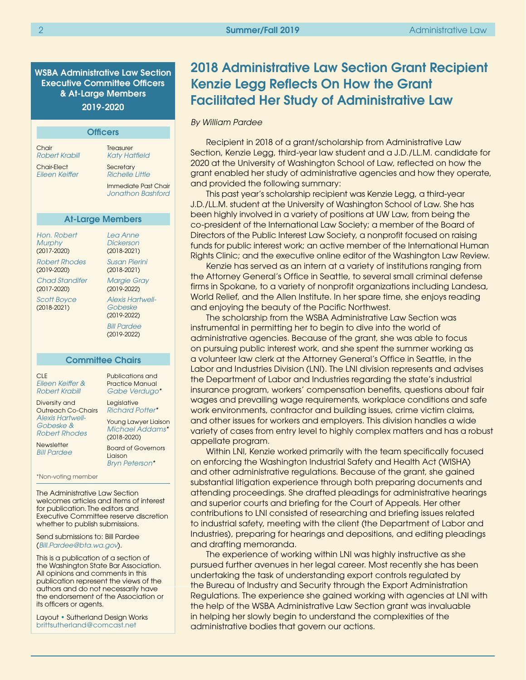WSBA Administrative Law Section Executive Committee Officers & At-Large Members 2019-2020

| <b>Officers</b>                                                                                                                                                                 |                                                                                                                                                                                                                                |
|---------------------------------------------------------------------------------------------------------------------------------------------------------------------------------|--------------------------------------------------------------------------------------------------------------------------------------------------------------------------------------------------------------------------------|
| Chair<br>Robert Krabill<br>Chair-Elect<br>Eileen Keiffer                                                                                                                        | Treasurer<br><b>Katy Hatfield</b><br>Secretary<br><b>Richelle Little</b><br>Immediate Past Chair<br>Jonathon Bashford                                                                                                          |
| <b>At-Large Members</b>                                                                                                                                                         |                                                                                                                                                                                                                                |
| Hon, Robert<br><b>Murphy</b><br>$(2017 - 2020)$<br><b>Robert Rhodes</b><br>$(2019 - 2020)$<br><b>Chad Standifer</b><br>$(2017 - 2020)$<br><b>Scott Boyce</b><br>$(2018 - 2021)$ | Lea Anne<br>Dickerson<br>$(2018 - 2021)$<br><b>Susan Pierini</b><br>$(2018 - 2021)$<br><b>Margie Gray</b><br>$(2019 - 2022)$<br><b>Alexis Hartwell-</b><br>Gobeske<br>$(2019 - 2022)$<br><b>Bill Pardee</b><br>$(2019 - 2022)$ |
|                                                                                                                                                                                 | <b>Committee Chairs</b>                                                                                                                                                                                                        |
| CLE<br>Eileen Keiffer &<br>Robert Krabill                                                                                                                                       | <b>Publications and</b><br><b>Practice Manual</b><br>Gabe Verdugo*                                                                                                                                                             |

*[Robert Krabill](https://www.mywsba.org/PersonifyEbusiness/LegalDirectory/LegalProfile.aspx?Usr_ID=000000031694)* Diversity and Outreach Co-Chairs *[Alexis Hartwell-](https://www.mywsba.org/PersonifyEbusiness/LegalDirectory/LegalProfile.aspx?Usr_ID=000000047222)*

 $\epsilon$ 

Legislative *[Richard Potter\\*](https://www.mywsba.org/PersonifyEbusiness/LegalDirectory/LegalProfile.aspx?Usr_ID=19196)* Young Lawyer Liaison *[Michael Addams\\*](https://www.mywsba.org/PersonifyEbusiness/LegalDirectory/LegalProfile.aspx?Usr_ID=000000047799)*  (2018-2020)

**Newsletter** *[Bill Pardee](https://www.mywsba.org/PersonifyEbusiness/LegalDirectory/LegalProfile.aspx?Usr_ID=000000031644)*

*[Gobeske](https://www.mywsba.org/PersonifyEbusiness/LegalDirectory/LegalProfile.aspx?Usr_ID=000000047222) & [Robert Rhodes](https://www.mywsba.org/PersonifyEbusiness/LegalDirectory/LegalProfile.aspx?Usr_ID=000000031089)*

Board of Governors Liaison *[Bryn Peterson](https://www.mywsba.org/PersonifyEbusiness/LegalDirectory/LegalProfile.aspx?Usr_ID=000000030261)\**

\*Non-voting member

The Administrative Law Section welcomes articles and items of interest for publication. The editors and Executive Committee reserve discretion whether to publish submissions.

Send submissions to: Bill Pardee (*[Bill.Pardee@bta.wa.gov](mailto:Bill.Pardee%40bta.wa.gov?subject=Administrative%20Law%20Section%20Newsletter)*).

This is a publication of a section of the Washington State Bar Association. All opinions and comments in this publication represent the views of the authors and do not necessarily have the endorsement of the Association or its officers or agents.

Layout • Sutherland Design Works [brittsutherland@comcast.net](mailto:brittsutherland%40comcast.net?subject=WSBA)

# 2018 Administrative Law Section Grant Recipient Kenzie Legg Reflects On How the Grant Facilitated Her Study of Administrative Law

### *By William Pardee*

Recipient in 2018 of a grant/scholarship from Administrative Law Section, Kenzie Legg, third-year law student and a J.D./LL.M. candidate for 2020 at the University of Washington School of Law, reflected on how the grant enabled her study of administrative agencies and how they operate, and provided the following summary:

This past year's scholarship recipient was Kenzie Legg, a third-year J.D./LL.M. student at the University of Washington School of Law. She has been highly involved in a variety of positions at UW Law, from being the co-president of the International Law Society; a member of the Board of Directors of the Public Interest Law Society, a nonprofit focused on raising funds for public interest work; an active member of the International Human Rights Clinic; and the executive online editor of the Washington Law Review.

Kenzie has served as an intern at a variety of institutions ranging from the Attorney General's Office in Seattle, to several small criminal defense firms in Spokane, to a variety of nonprofit organizations including Landesa, World Relief, and the Allen Institute. In her spare time, she enjoys reading and enjoying the beauty of the Pacific Northwest.

The scholarship from the WSBA Administrative Law Section was instrumental in permitting her to begin to dive into the world of administrative agencies. Because of the grant, she was able to focus on pursuing public interest work, and she spent the summer working as a volunteer law clerk at the Attorney General's Office in Seattle, in the Labor and Industries Division (LNI). The LNI division represents and advises the Department of Labor and Industries regarding the state's industrial insurance program, workers' compensation benefits, questions about fair wages and prevailing wage requirements, workplace conditions and safe work environments, contractor and building issues, crime victim claims, and other issues for workers and employers. This division handles a wide variety of cases from entry level to highly complex matters and has a robust appellate program.

Within LNI, Kenzie worked primarily with the team specifically focused on enforcing the Washington Industrial Safety and Health Act (WISHA) and other administrative regulations. Because of the grant, she gained substantial litigation experience through both preparing documents and attending proceedings. She drafted pleadings for administrative hearings and superior courts and briefing for the Court of Appeals. Her other contributions to LNI consisted of researching and briefing issues related to industrial safety, meeting with the client (the Department of Labor and Industries), preparing for hearings and depositions, and editing pleadings and drafting memoranda.

The experience of working within LNI was highly instructive as she pursued further avenues in her legal career. Most recently she has been undertaking the task of understanding export controls regulated by the Bureau of Industry and Security through the Export Administration Regulations. The experience she gained working with agencies at LNI with the help of the WSBA Administrative Law Section grant was invaluable in helping her slowly begin to understand the complexities of the administrative bodies that govern our actions.

C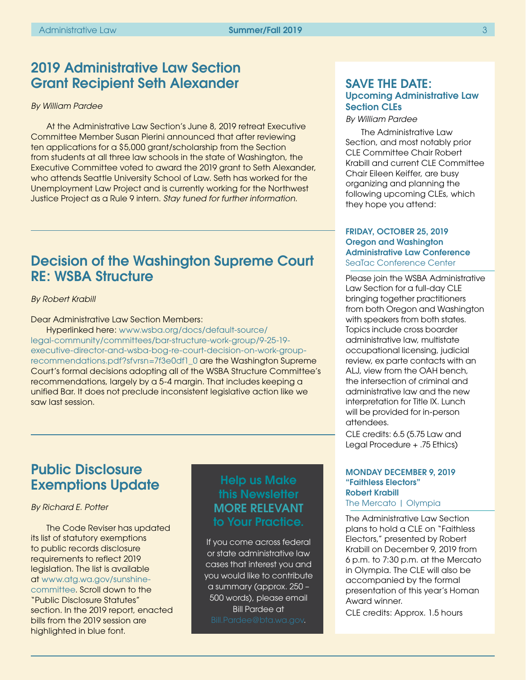# <span id="page-2-0"></span>2019 Administrative Law Section Grant Recipient Seth Alexander

#### *By William Pardee*

At the Administrative Law Section's June 8, 2019 retreat Executive Committee Member Susan Pierini announced that after reviewing ten applications for a \$5,000 grant/scholarship from the Section from students at all three law schools in the state of Washington, the Executive Committee voted to award the 2019 grant to Seth Alexander, who attends Seattle University School of Law. Seth has worked for the Unemployment Law Project and is currently working for the Northwest Justice Project as a Rule 9 intern. *Stay tuned for further information.* 

# Decision of the Washington Supreme Court RE: WSBA Structure

### *By Robert Krabill*

Dear Administrative Law Section Members:

Hyperlinked here: [www.wsba.org/docs/default-source/](https://www.wsba.org/docs/default-source/legal-community/committees/bar-structure-work-group/9-25-19-executive-director-and-wsba-bog-re-court-decision-on-work-group-recommendations.pdf?sfvrsn=7f3e0df1_0) [legal-community/committees/bar-structure-work-group/9-25-19](https://www.wsba.org/docs/default-source/legal-community/committees/bar-structure-work-group/9-25-19-executive-director-and-wsba-bog-re-court-decision-on-work-group-recommendations.pdf?sfvrsn=7f3e0df1_0) [executive-director-and-wsba-bog-re-court-decision-on-work-group](https://www.wsba.org/docs/default-source/legal-community/committees/bar-structure-work-group/9-25-19-executive-director-and-wsba-bog-re-court-decision-on-work-group-recommendations.pdf?sfvrsn=7f3e0df1_0)[recommendations.pdf?sfvrsn=7f3e0df1\\_0](https://www.wsba.org/docs/default-source/legal-community/committees/bar-structure-work-group/9-25-19-executive-director-and-wsba-bog-re-court-decision-on-work-group-recommendations.pdf?sfvrsn=7f3e0df1_0) are the Washington Supreme Court's formal decisions adopting all of the WSBA Structure Committee's recommendations, largely by a 5-4 margin. That includes keeping a unified Bar. It does not preclude inconsistent legislative action like we saw last session.

# Public Disclosure Exemptions Update

# *By Richard E. Potter*

The Code Reviser has updated its list of statutory exemptions to public records disclosure requirements to reflect 2019 legislation. The list is available at [www.atg.wa.gov/sunshine](https://www.atg.wa.gov/sunshine-committee)[committee.](https://www.atg.wa.gov/sunshine-committee) Scroll down to the "Public Disclosure Statutes" section. In the 2019 report, enacted bills from the 2019 session are highlighted in blue font.

# Help us Make this Newsletter MORE RELEVANT to Your Practice.

If you come across federal or state administrative law cases that interest you and you would like to contribute a summary (approx. 250 – 500 words), please email Bill Pardee at

# SAVE THE DATE: Upcoming Administrative Law Section CLEs

# *By William Pardee*

The Administrative Law Section, and most notably prior CLE Committee Chair Robert Krabill and current CLE Committee Chair Eileen Keiffer, are busy organizing and planning the following upcoming CLEs, which they hope you attend:

# FRIDAY, OCTOBER 25, 2019 Oregon and Washington Administrative Law Conference SeaTac Conference Center

Please join the WSBA Administrative Law Section for a full-day CLE bringing together practitioners from both Oregon and Washington with speakers from both states. Topics include cross boarder administrative law, multistate occupational licensing, judicial review, ex parte contacts with an ALJ, view from the OAH bench, the intersection of criminal and administrative law and the new interpretation for Title IX. Lunch will be provided for in-person attendees.

CLE credits: 6.5 (5.75 Law and Legal Procedure + .75 Ethics)

### MONDAY DECEMBER 9, 2019 "Faithless Electors" Robert Krabill The Mercato | Olympia

The Administrative Law Section plans to hold a CLE on "Faithless Electors," presented by Robert Krabill on December 9, 2019 from 6 p.m. to 7:30 p.m. at the Mercato in Olympia. The CLE will also be accompanied by the formal presentation of this year's Homan Award winner.

CLE credits: Approx. 1.5 hours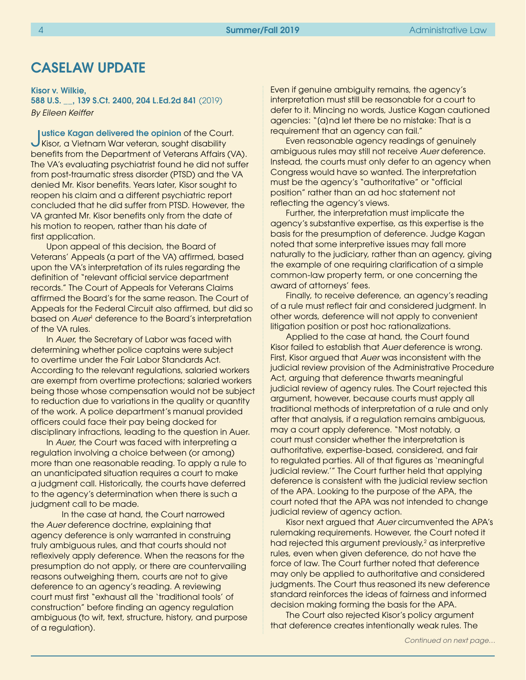# CASELAW UPDATE

Kisor v. Wilkie,

588 U.S. \_\_, 139 S.Ct. 2400, 204 L.Ed.2d 841 (2019) *By Eileen Keiffer*

Justice Kagan delivered the opinion of the Court. Kisor, a Vietnam War veteran, sought disability benefits from the Department of Veterans Affairs (VA). The VA's evaluating psychiatrist found he did not suffer from post-traumatic stress disorder (PTSD) and the VA denied Mr. Kisor benefits. Years later, Kisor sought to reopen his claim and a different psychiatric report concluded that he did suffer from PTSD. However, the VA granted Mr. Kisor benefits only from the date of his motion to reopen, rather than his date of first application.

Upon appeal of this decision, the Board of Veterans' Appeals (a part of the VA) affirmed, based upon the VA's interpretation of its rules regarding the definition of "relevant official service department records." The Court of Appeals for Veterans Claims affirmed the Board's for the same reason. The Court of Appeals for the Federal Circuit also affirmed, but did so based on *Auer*<sup>1</sup> deference to the Board's interpretation of the VA rules.

In *Auer*, the Secretary of Labor was faced with determining whether police captains were subject to overtime under the Fair Labor Standards Act. According to the relevant regulations, salaried workers are exempt from overtime protections; salaried workers being those whose compensation would not be subject to reduction due to variations in the quality or quantity of the work. A police department's manual provided officers could face their pay being docked for disciplinary infractions, leading to the question in Auer.

In *Auer*, the Court was faced with interpreting a regulation involving a choice between (or among) more than one reasonable reading. To apply a rule to an unanticipated situation requires a court to make a judgment call. Historically, the courts have deferred to the agency's determination when there is such a judgment call to be made.

In the case at hand, the Court narrowed the *Auer* deference doctrine, explaining that agency deference is only warranted in construing truly ambiguous rules, and that courts should not reflexively apply deference. When the reasons for the presumption do not apply, or there are countervailing reasons outweighing them, courts are not to give deference to an agency's reading. A reviewing court must first "exhaust all the 'traditional tools' of construction" before finding an agency regulation ambiguous (to wit, text, structure, history, and purpose of a regulation).

Even if genuine ambiguity remains, the agency's interpretation must still be reasonable for a court to defer to it. Mincing no words, Justice Kagan cautioned agencies: "[a]nd let there be no mistake: That is a requirement that an agency can fail."

Even reasonable agency readings of genuinely ambiguous rules may still not receive *Auer* deference. Instead, the courts must only defer to an agency when Congress would have so wanted. The interpretation must be the agency's "authoritative" or "official position" rather than an ad hoc statement not reflecting the agency's views.

Further, the interpretation must implicate the agency's substantive expertise, as this expertise is the basis for the presumption of deference. Judge Kagan noted that some interpretive issues may fall more naturally to the judiciary, rather than an agency, giving the example of one requiring clarification of a simple common-law property term, or one concerning the award of attorneys' fees.

Finally, to receive deference, an agency's reading of a rule must reflect fair and considered judgment. In other words, deference will not apply to convenient litigation position or post hoc rationalizations.

Applied to the case at hand, the Court found Kisor failed to establish that *Auer* deference is wrong. First, Kisor argued that *Auer* was inconsistent with the judicial review provision of the Administrative Procedure Act, arguing that deference thwarts meaningful judicial review of agency rules. The Court rejected this argument, however, because courts must apply all traditional methods of interpretation of a rule and only after that analysis, if a regulation remains ambiguous, may a court apply deference. "Most notably, a court must consider whether the interpretation is authoritative, expertise-based, considered, and fair to regulated parties. All of that figures as 'meaningful judicial review.'" The Court further held that applying deference is consistent with the judicial review section of the APA. Looking to the purpose of the APA, the court noted that the APA was not intended to change judicial review of agency action.

Kisor next argued that *Auer* circumvented the APA's rulemaking requirements. However, the Court noted it had rejected this argument previously,<sup>2</sup> as interpretive rules, even when given deference, do not have the force of law. The Court further noted that deference may only be applied to authoritative and considered judgments. The Court thus reasoned its new deference standard reinforces the ideas of fairness and informed decision making forming the basis for the APA.

The Court also rejected Kisor's policy argument that deference creates intentionally weak rules. The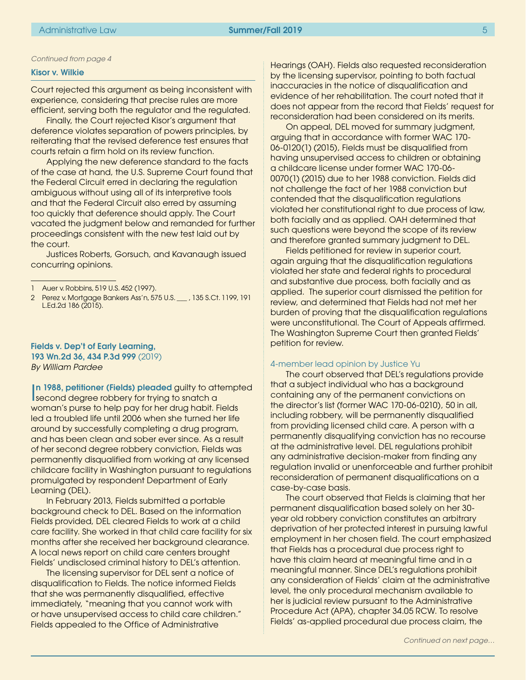#### Kisor v. Wilkie

Court rejected this argument as being inconsistent with experience, considering that precise rules are more efficient, serving both the regulator and the regulated.

Finally, the Court rejected Kisor's argument that deference violates separation of powers principles, by reiterating that the revised deference test ensures that courts retain a firm hold on its review function.

Applying the new deference standard to the facts of the case at hand, the U.S. Supreme Court found that the Federal Circuit erred in declaring the regulation ambiguous without using all of its interpretive tools and that the Federal Circuit also erred by assuming too quickly that deference should apply. The Court vacated the judgment below and remanded for further proceedings consistent with the new test laid out by the court.

Justices Roberts, Gorsuch, and Kavanaugh issued concurring opinions.

### Fields v. Dep't of Early Learning, 193 Wn.2d 36, 434 P.3d 999 (2019) *By William Pardee*

I n 1988, petitioner (Fields) pleaded guilty to attempted second degree robbery for trying to snatch a woman's purse to help pay for her drug habit. Fields led a troubled life until 2006 when she turned her life around by successfully completing a drug program, and has been clean and sober ever since. As a result of her second degree robbery conviction, Fields was permanently disqualified from working at any licensed childcare facility in Washington pursuant to regulations promulgated by respondent Department of Early Learning (DEL).

In February 2013, Fields submitted a portable background check to DEL. Based on the information Fields provided, DEL cleared Fields to work at a child care facility. She worked in that child care facility for six months after she received her background clearance. A local news report on child care centers brought Fields' undisclosed criminal history to DEL's attention.

The licensing supervisor for DEL sent a notice of disqualification to Fields. The notice informed Fields that she was permanently disqualified, effective immediately, "meaning that you cannot work with or have unsupervised access to child care children." Fields appealed to the Office of Administrative

<span id="page-4-0"></span>*Continued from page 4* Hearings (OAH). Fields also requested reconsideration by the licensing supervisor, pointing to both factual inaccuracies in the notice of disqualification and evidence of her rehabilitation. The court noted that it does not appear from the record that Fields' request for reconsideration had been considered on its merits.

> On appeal, DEL moved for summary judgment, arguing that in accordance with former WAC 170- 06-0120(1) (2015), Fields must be disqualified from having unsupervised access to children or obtaining a childcare license under former WAC 170-06- 0070(1) (2015) due to her 1988 conviction. Fields did not challenge the fact of her 1988 conviction but contended that the disqualification regulations violated her constitutional right to due process of law, both facially and as applied. OAH determined that such questions were beyond the scope of its review and therefore granted summary judgment to DEL.

> Fields petitioned for review in superior court, again arguing that the disqualification regulations violated her state and federal rights to procedural and substantive due process, both facially and as applied. The superior court dismissed the petition for review, and determined that Fields had not met her burden of proving that the disqualification regulations were unconstitutional. The Court of Appeals affirmed. The Washington Supreme Court then granted Fields' petition for review.

#### 4-member lead opinion by Justice Yu

The court observed that DEL's regulations provide that a subject individual who has a background containing any of the permanent convictions on the director's list (former WAC 170-06-0210), 50 in all, including robbery, will be permanently disqualified from providing licensed child care. A person with a permanently disqualifying conviction has no recourse at the administrative level. DEL regulations prohibit any administrative decision-maker from finding any regulation invalid or unenforceable and further prohibit reconsideration of permanent disqualifications on a case-by-case basis.

The court observed that Fields is claiming that her permanent disqualification based solely on her 30 year old robbery conviction constitutes an arbitrary deprivation of her protected interest in pursuing lawful employment in her chosen field. The court emphasized that Fields has a procedural due process right to have this claim heard at meaningful time and in a meaningful manner. Since DEL's regulations prohibit any consideration of Fields' claim at the administrative level, the only procedural mechanism available to her is judicial review pursuant to the Administrative Procedure Act (APA), chapter 34.05 RCW. To resolve Fields' as-applied procedural due process claim, the

<sup>1</sup> Auer v. Robbins, 519 U.S. 452 (1997).

<sup>2</sup> Perez v. Mortgage Bankers Ass'n, 575 U.S. \_\_\_ , 135 S.Ct. 1199, 191 L.Ed.2d 186 (2015).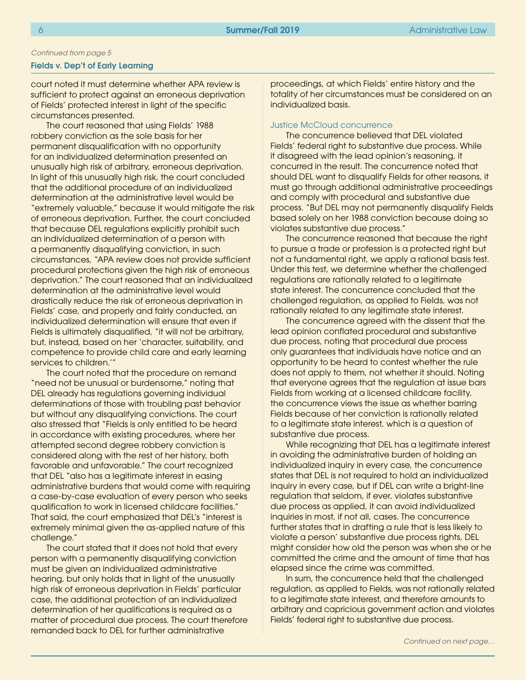### <span id="page-5-0"></span>*Continued from page 5*

## Fields v. Dep't of Early Learning

court noted it must determine whether APA review is sufficient to protect against an erroneous deprivation of Fields' protected interest in light of the specific circumstances presented.

The court reasoned that using Fields' 1988 robbery conviction as the sole basis for her permanent disqualification with no opportunity for an individualized determination presented an unusually high risk of arbitrary, erroneous deprivation. In light of this unusually high risk, the court concluded that the additional procedure of an individualized determination at the administrative level would be "extremely valuable," because it would mitigate the risk of erroneous deprivation. Further, the court concluded that because DEL regulations explicitly prohibit such an individualized determination of a person with a permanently disqualifying conviction, in such circumstances, "APA review does not provide sufficient procedural protections given the high risk of erroneous deprivation." The court reasoned that an individualized determination at the administrative level would drastically reduce the risk of erroneous deprivation in Fields' case, and properly and fairly conducted, an individualized determination will ensure that even if Fields is ultimately disqualified, "it will not be arbitrary, but, instead, based on her 'character, suitability, and competence to provide child care and early learning services to children.'"

The court noted that the procedure on remand "need not be unusual or burdensome," noting that DEL already has regulations governing individual determinations of those with troubling past behavior but without any disqualifying convictions. The court also stressed that "Fields is only entitled to be heard in accordance with existing procedures, where her attempted second degree robbery conviction is considered along with the rest of her history, both favorable and unfavorable." The court recognized that DEL "also has a legitimate interest in easing administrative burdens that would come with requiring a case-by-case evaluation of every person who seeks qualification to work in licensed childcare facilities." That said, the court emphasized that DEL's "interest is extremely minimal given the as-applied nature of this challenge."

The court stated that it does not hold that every person with a permanently disqualifying conviction must be given an individualized administrative hearing, but only holds that in light of the unusually high risk of erroneous deprivation in Fields' particular case, the additional protection of an individualized determination of her qualifications is required as a matter of procedural due process. The court therefore remanded back to DEL for further administrative

proceedings, at which Fields' entire history and the totality of her circumstances must be considered on an individualized basis.

### Justice McCloud concurrence

The concurrence believed that DEL violated Fields' federal right to substantive due process. While it disagreed with the lead opinion's reasoning, it concurred in the result. The concurrence noted that should DEL want to disqualify Fields for other reasons, it must go through additional administrative proceedings and comply with procedural and substantive due process. "But DEL may not permanently disqualify Fields based solely on her 1988 conviction because doing so violates substantive due process."

The concurrence reasoned that because the right to pursue a trade or profession is a protected right but not a fundamental right, we apply a rational basis test. Under this test, we determine whether the challenged regulations are rationally related to a legitimate state interest. The concurrence concluded that the challenged regulation, as applied to Fields, was not rationally related to any legitimate state interest.

The concurrence agreed with the dissent that the lead opinion conflated procedural and substantive due process, noting that procedural due process only guarantees that individuals have notice and an opportunity to be heard to contest whether the rule does not apply to them, not whether it should. Noting that everyone agrees that the regulation at issue bars Fields from working at a licensed childcare facility, the concurrence views the issue as whether barring Fields because of her conviction is rationally related to a legitimate state interest, which is a question of substantive due process.

While recognizing that DEL has a legitimate interest in avoiding the administrative burden of holding an individualized inquiry in every case, the concurrence states that DEL is not required to hold an individualized inquiry in every case, but if DEL can write a bright-line regulation that seldom, if ever, violates substantive due process as applied, it can avoid individualized inquiries in most, if not all, cases. The concurrence further states that in drafting a rule that is less likely to violate a person' substantive due process rights, DEL might consider how old the person was when she or he committed the crime and the amount of time that has elapsed since the crime was committed.

In sum, the concurrence held that the challenged regulation, as applied to Fields, was not rationally related to a legitimate state interest, and therefore amounts to arbitrary and capricious government action and violates Fields' federal right to substantive due process.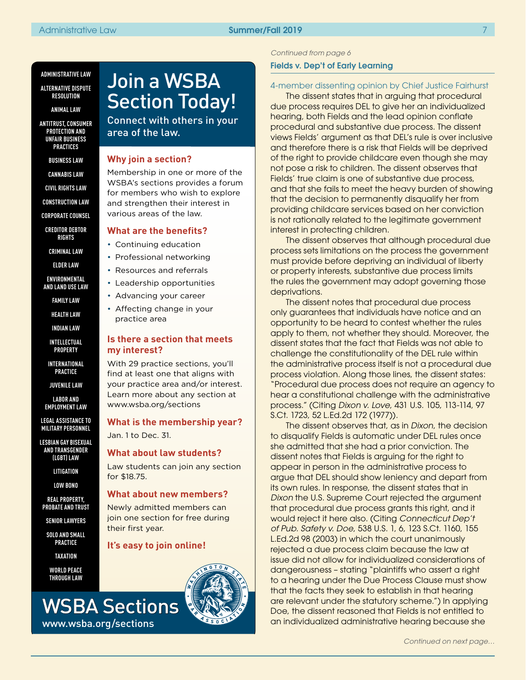#### **ADMINISTRATIVE LAW**

**ALTERNATIVE DISPUTE RESOLUTION**

**ANIMAL LAW**

**ANTITRUST, CONSUMER PROTECTION AND UNFAIR BUSINESS PRACTICES**

**BUSINESS LAW**

**CANNABIS LAW**

**CIVIL RIGHTS LAW**

**CONSTRUCTION LAW**

**CORPORATE COUNSEL**

**CREDITOR DEBTOR RIGHTS**

**CRIMINAL LAW**

**ELDER LAW**

**ENVIRONMENTAL AND LAND USE LAW**

**FAMILY LAW**

**HEALTH LAW**

**INDIAN LAW**

**INTELLECTUAL PROPERTY**

**INTERNATIONAL PRACTICE**

**JUVENILE LAW**

**LABOR AND EMPLOYMENT LAW**

**LEGAL ASSISTANCE TO MILITARY PERSONNEL**

**LESBIAN GAY BISEXUAL AND TRANSGENDER (LGBT) LAW**

**LITIGATION**

**LOW BONO**

**REAL PROPERTY, PROBATE AND TRUST**

**SENIOR LAWYERS**

**SOLO AND SMALL PRACTICE**

**TAXATION**

**WORLD PEACE THROUGH LAW** 

www.wsba.org/sections

# Join a WSBA Section Today!

Connect with others in your area of the law.

# **Why join a section?**

Membership in one or more of the WSBA's sections provides a forum for members who wish to explore and strengthen their interest in various areas of the law.

# **What are the benefits?**

- Continuing education
- Professional networking
- Resources and referrals
- Leadership opportunities
- Advancing your career
- Affecting change in your practice area

# **Is there a section that meets my interest?**

With 29 practice sections, you'll find at least one that aligns with your practice area and/or interest. Learn more about any section at www.wsba.org/sections

**What is the membership year?** Jan. 1 to Dec. 31.

# **What about law students?**

Law students can join any section for \$18.75.

# **What about new members?**

Newly admitted members can join one section for free during their first year.

# **It's easy to join online!**



*Continued from page 6*

### Fields v. Dep't of Early Learning

# 4-member dissenting opinion by Chief Justice Fairhurst

The dissent states that in arguing that procedural due process requires DEL to give her an individualized hearing, both Fields and the lead opinion conflate procedural and substantive due process. The dissent views Fields' argument as that DEL's rule is over inclusive and therefore there is a risk that Fields will be deprived of the right to provide childcare even though she may not pose a risk to children. The dissent observes that Fields' true claim is one of substantive due process, and that she fails to meet the heavy burden of showing that the decision to permanently disqualify her from providing childcare services based on her conviction is not rationally related to the legitimate government interest in protecting children.

The dissent observes that although procedural due process sets limitations on the process the government must provide before depriving an individual of liberty or property interests, substantive due process limits the rules the government may adopt governing those deprivations.

The dissent notes that procedural due process only guarantees that individuals have notice and an opportunity to be heard to contest whether the rules apply to them, not whether they should. Moreover, the dissent states that the fact that Fields was not able to challenge the constitutionality of the DEL rule within the administrative process itself is not a procedural due process violation. Along those lines, the dissent states: "Procedural due process does not require an agency to hear a constitutional challenge with the administrative process." (Citing *Dixon v. Love*, 431 U.S. 105, 113-114, 97 S.Ct. 1723, 52 L.Ed.2d 172 (1977)).

The dissent observes that, as in *Dixon*, the decision to disqualify Fields is automatic under DEL rules once she admitted that she had a prior conviction. The dissent notes that Fields is arguing for the right to appear in person in the administrative process to argue that DEL should show leniency and depart from its own rules. In response, the dissent states that in *Dixon* the U.S. Supreme Court rejected the argument that procedural due process grants this right, and it would reject it here also. (Citing *Connecticut Dep't of Pub. Safety v. Doe*, 538 U.S. 1, 6, 123 S.Ct. 1160, 155 L.Ed.2d 98 (2003) in which the court unanimously rejected a due process claim because the law at issue did not allow for individualized considerations of dangerousness – stating "plaintiffs who assert a right to a hearing under the Due Process Clause must show that the facts they seek to establish in that hearing are relevant under the statutory scheme.") In applying Doe, the dissent reasoned that Fields is not entitled to an individualized administrative hearing because she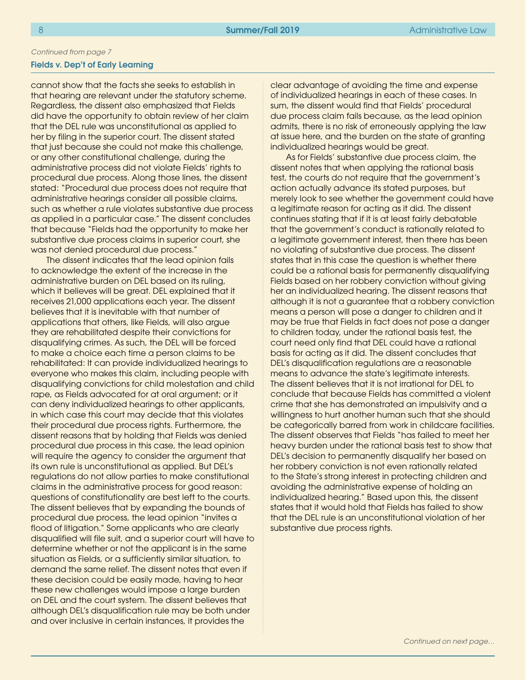# *Continued from page 7*

### Fields v. Dep't of Early Learning

cannot show that the facts she seeks to establish in that hearing are relevant under the statutory scheme. Regardless, the dissent also emphasized that Fields did have the opportunity to obtain review of her claim that the DEL rule was unconstitutional as applied to her by filing in the superior court. The dissent stated that just because she could not make this challenge, or any other constitutional challenge, during the administrative process did not violate Fields' rights to procedural due process. Along those lines, the dissent stated: "Procedural due process does not require that administrative hearings consider all possible claims, such as whether a rule violates substantive due process as applied in a particular case." The dissent concludes that because "Fields had the opportunity to make her substantive due process claims in superior court, she was not denied procedural due process."

The dissent indicates that the lead opinion fails to acknowledge the extent of the increase in the administrative burden on DEL based on its ruling, which it believes will be great. DEL explained that it receives 21,000 applications each year. The dissent believes that it is inevitable with that number of applications that others, like Fields, will also argue they are rehabilitated despite their convictions for disqualifying crimes. As such, the DEL will be forced to make a choice each time a person claims to be rehabilitated: It can provide individualized hearings to everyone who makes this claim, including people with disqualifying convictions for child molestation and child rape, as Fields advocated for at oral argument; or it can deny individualized hearings to other applicants, in which case this court may decide that this violates their procedural due process rights. Furthermore, the dissent reasons that by holding that Fields was denied procedural due process in this case, the lead opinion will require the agency to consider the argument that its own rule is unconstitutional as applied. But DEL's regulations do not allow parties to make constitutional claims in the administrative process for good reason: questions of constitutionality are best left to the courts. The dissent believes that by expanding the bounds of procedural due process, the lead opinion "invites a flood of litigation." Some applicants who are clearly disqualified will file suit, and a superior court will have to determine whether or not the applicant is in the same situation as Fields, or a sufficiently similar situation, to demand the same relief. The dissent notes that even if these decision could be easily made, having to hear these new challenges would impose a large burden on DEL and the court system. The dissent believes that although DEL's disqualification rule may be both under and over inclusive in certain instances, it provides the

clear advantage of avoiding the time and expense of individualized hearings in each of these cases. In sum, the dissent would find that Fields' procedural due process claim fails because, as the lead opinion admits, there is no risk of erroneously applying the law at issue here, and the burden on the state of granting individualized hearings would be great.

As for Fields' substantive due process claim, the dissent notes that when applying the rational basis test, the courts do not require that the government's action actually advance its stated purposes, but merely look to see whether the government could have a legitimate reason for acting as it did. The dissent continues stating that if it is at least fairly debatable that the government's conduct is rationally related to a legitimate government interest, then there has been no violating of substantive due process. The dissent states that in this case the question is whether there could be a rational basis for permanently disqualifying Fields based on her robbery conviction without giving her an individualized hearing. The dissent reasons that although it is not a guarantee that a robbery conviction means a person will pose a danger to children and it may be true that Fields in fact does not pose a danger to children today, under the rational basis test, the court need only find that DEL could have a rational basis for acting as it did. The dissent concludes that DEL's disqualification regulations are a reasonable means to advance the state's legitimate interests. The dissent believes that it is not irrational for DEL to conclude that because Fields has committed a violent crime that she has demonstrated an impulsivity and a willingness to hurt another human such that she should be categorically barred from work in childcare facilities. The dissent observes that Fields "has failed to meet her heavy burden under the rational basis test to show that DEL's decision to permanently disqualify her based on her robbery conviction is not even rationally related to the State's strong interest in protecting children and avoiding the administrative expense of holding an individualized hearing." Based upon this, the dissent states that it would hold that Fields has failed to show that the DEL rule is an unconstitutional violation of her substantive due process rights.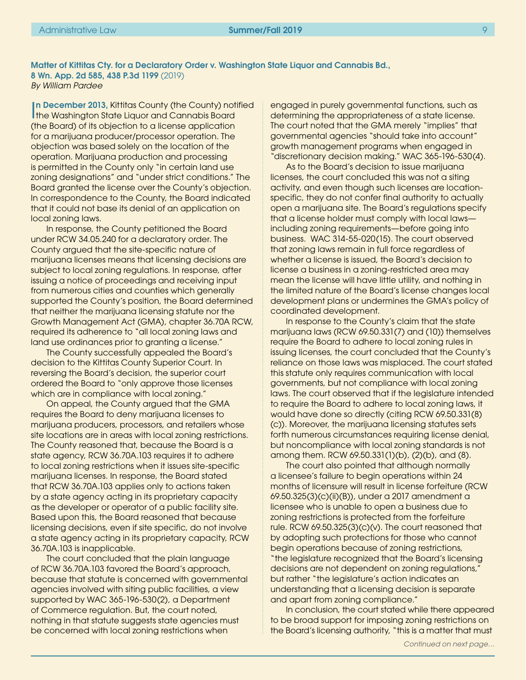In December 2013, Kittitas County (the County) not<br>Ithe Washington State Liquor and Cannabis Board n December 2013, Kittitas County (the County) notified (the Board) of its objection to a license application for a marijuana producer/processor operation. The objection was based solely on the location of the operation. Marijuana production and processing is permitted in the County only "in certain land use zoning designations" and "under strict conditions." The Board granted the license over the County's objection. In correspondence to the County, the Board indicated that it could not base its denial of an application on local zoning laws.

In response, the County petitioned the Board under RCW 34.05.240 for a declaratory order. The County argued that the site-specific nature of marijuana licenses means that licensing decisions are subject to local zoning regulations. In response, after issuing a notice of proceedings and receiving input from numerous cities and counties which generally supported the County's position, the Board determined that neither the marijuana licensing statute nor the Growth Management Act (GMA), chapter 36.70A RCW, required its adherence to "all local zoning laws and land use ordinances prior to granting a license."

The County successfully appealed the Board's decision to the Kittitas County Superior Court. In reversing the Board's decision, the superior court ordered the Board to "only approve those licenses which are in compliance with local zoning."

On appeal, the County argued that the GMA requires the Board to deny marijuana licenses to marijuana producers, processors, and retailers whose site locations are in areas with local zoning restrictions. The County reasoned that, because the Board is a state agency, RCW 36.70A.103 requires it to adhere to local zoning restrictions when it issues site-specific marijuana licenses. In response, the Board stated that RCW 36.70A.103 applies only to actions taken by a state agency acting in its proprietary capacity as the developer or operator of a public facility site. Based upon this, the Board reasoned that because licensing decisions, even if site specific, do not involve a state agency acting in its proprietary capacity, RCW 36.70A.103 is inapplicable.

The court concluded that the plain language of RCW 36.70A.103 favored the Board's approach, because that statute is concerned with governmental agencies involved with siting public facilities, a view supported by WAC 365-196-530(2), a Department of Commerce regulation. But, the court noted, nothing in that statute suggests state agencies must be concerned with local zoning restrictions when

engaged in purely governmental functions, such as determining the appropriateness of a state license. The court noted that the GMA merely "implies" that governmental agencies "should take into account" growth management programs when engaged in "discretionary decision making." WAC 365-196-530(4).

As to the Board's decision to issue marijuana licenses, the court concluded this was not a siting activity, and even though such licenses are locationspecific, they do not confer final authority to actually open a marijuana site. The Board's regulations specify that a license holder must comply with local laws including zoning requirements—before going into business. WAC 314-55-020(15). The court observed that zoning laws remain in full force regardless of whether a license is issued, the Board's decision to license a business in a zoning-restricted area may mean the license will have little utility, and nothing in the limited nature of the Board's license changes local development plans or undermines the GMA's policy of coordinated development.

In response to the County's claim that the state marijuana laws (RCW 69.50.331(7) and (10)) themselves require the Board to adhere to local zoning rules in issuing licenses, the court concluded that the County's reliance on those laws was misplaced. The court stated this statute only requires communication with local governments, but not compliance with local zoning laws. The court observed that if the legislature intended to require the Board to adhere to local zoning laws, it would have done so directly (citing RCW 69.50.331(8) (c)). Moreover, the marijuana licensing statutes sets forth numerous circumstances requiring license denial, but noncompliance with local zoning standards is not among them. RCW 69.50.331(1)(b), (2)(b), and (8).

The court also pointed that although normally a licensee's failure to begin operations within 24 months of licensure will result in license forfeiture (RCW 69.50.325(3)(c)(ii)(B)), under a 2017 amendment a licensee who is unable to open a business due to zoning restrictions is protected from the forfeiture rule. RCW 69.50.325(3)(c)(v). The court reasoned that by adopting such protections for those who cannot begin operations because of zoning restrictions, "the legislature recognized that the Board's licensing decisions are not dependent on zoning regulations," but rather "the legislature's action indicates an understanding that a licensing decision is separate and apart from zoning compliance."

In conclusion, the court stated while there appeared to be broad support for imposing zoning restrictions on the Board's licensing authority, "this is a matter that must